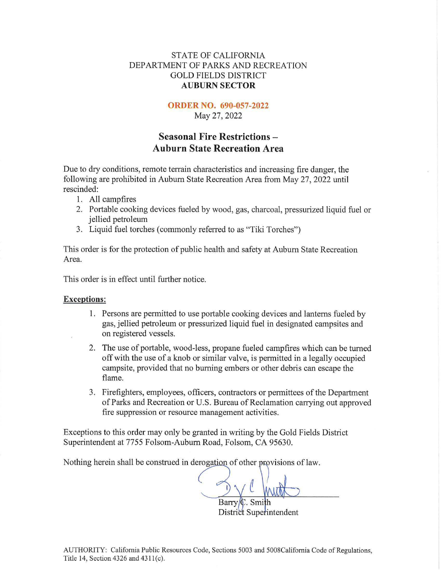### STATE OF CALIFORNIA DEPARTMENT OF PARKS AND RECREATION GOLD FIELDS DISTRICT **AUBURN SECTOR**

#### **ORDER NO. 690-057-2022**

May 27, 2022

## **Seasonal Fire Restrictions** - **Auburn State Recreation Area**

Due to dry conditions, remote terrain characteristics and increasing fire danger, the following are prohibited in Auburn State Recreation Area from May 27, 2022 until rescinded:

- 1. All campfires
- 2. Portable cooking devices fueled by wood, gas, charcoal, pressurized liquid fuel or jellied petroleum
- 3. Liquid fuel torches (commonly referred to as "Tiki Torches")

This order is for the protection of public health and safety at Auburn State Recreation Area.

This order is in effect until further notice.

#### **Exceptions:**

- 1. Persons are permitted to use portable cooking devices and lanterns fueled by gas, jellied petroleum or pressurized liquid fuel in designated campsites and on registered vessels.
- 2. The use of portable, wood-less, propane fueled campfires which can be turned offwith the use of a knob or similar valve, is permitted in a legally occupied campsite, provided that no burning embers or other debris can escape the flame.
- 3. Firefighters, employees, officers, contractors or permittees of the Department of Parks and Recreation or U.S. Bureau of Reclamation carrying out approved fire suppression or resource management activities.

Exceptions to this order may only be granted in writing by the Gold Fields District Superintendent at 7755 Folsom-Auburn Road, Folsom, CA 95630.

Nothing herein shall be construed in derogation of other provisions of law.

District Superintendent